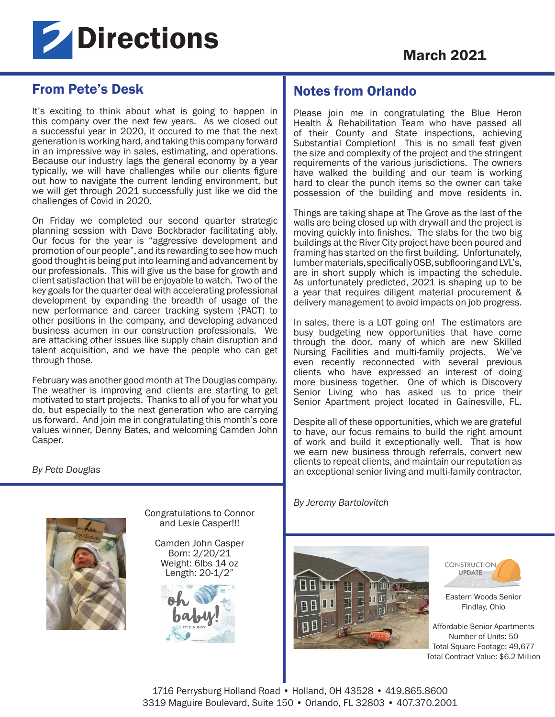

# From Pete's Desk

It's exciting to think about what is going to happen in this company over the next few years. As we closed out a successful year in 2020, it occured to me that the next generation is working hard, and taking this company forward in an impressive way in sales, estimating, and operations. Because our industry lags the general economy by a year typically, we will have challenges while our clients figure out how to navigate the current lending environment, but we will get through 2021 successfully just like we did the challenges of Covid in 2020.

On Friday we completed our second quarter strategic planning session with Dave Bockbrader facilitating ably. Our focus for the year is "aggressive development and promotion of our people", and its rewarding to see how much good thought is being put into learning and advancement by our professionals. This will give us the base for growth and client satisfaction that will be enjoyable to watch. Two of the key goals for the quarter deal with accelerating professional development by expanding the breadth of usage of the new performance and career tracking system (PACT) to other positions in the company, and developing advanced business acumen in our construction professionals. We are attacking other issues like supply chain disruption and talent acquisition, and we have the people who can get through those.

February was another good month at The Douglas company. The weather is improving and clients are starting to get motivated to start projects. Thanks to all of you for what you do, but especially to the next generation who are carrying us forward. And join me in congratulating this month's core values winner, Denny Bates, and welcoming Camden John Casper.

*By Pete Douglas* 



Congratulations to Connor and Lexie Casper!!!

Camden John Casper Born: 2/20/21 Weight: 6lbs 14 oz Length: 20-1/2"



Notes from Orlando

Please join me in congratulating the Blue Heron Health & Rehabilitation Team who have passed all of their County and State inspections, achieving Substantial Completion! This is no small feat given the size and complexity of the project and the stringent requirements of the various jurisdictions. The owners have walked the building and our team is working hard to clear the punch items so the owner can take possession of the building and move residents in.

Things are taking shape at The Grove as the last of the walls are being closed up with drywall and the project is moving quickly into finishes. The slabs for the two big buildings at the River City project have been poured and framing has started on the first building. Unfortunately, lumber materials, specifically OSB, subflooring and LVL's, are in short supply which is impacting the schedule. As unfortunately predicted, 2021 is shaping up to be a year that requires diligent material procurement & delivery management to avoid impacts on job progress.

In sales, there is a LOT going on! The estimators are busy budgeting new opportunities that have come through the door, many of which are new Skilled Nursing Facilities and multi-family projects. We've even recently reconnected with several previous clients who have expressed an interest of doing more business together. One of which is Discovery Senior Living who has asked us to price their Senior Apartment project located in Gainesville, FL.

Despite all of these opportunities, which we are grateful to have, our focus remains to build the right amount of work and build it exceptionally well. That is how we earn new business through referrals, convert new clients to repeat clients, and maintain our reputation as an exceptional senior living and multi-family contractor.

*By Jeremy Bartolovitch*





Eastern Woods Senior Findlay, Ohio

Affordable Senior Apartments Number of Units: 50 Total Square Footage: 49,677 Total Contract Value: \$6.2 Million

1716 Perrysburg Holland Road • Holland, OH 43528 • 419.865.8600 3319 Maguire Boulevard, Suite 150 • Orlando, FL 32803 • 407.370.2001